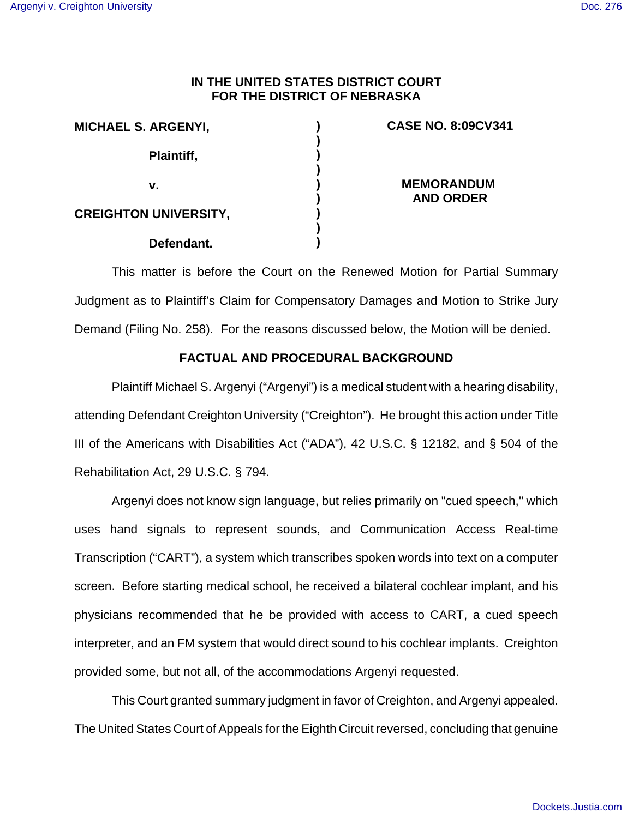# **IN THE UNITED STATES DISTRICT COURT FOR THE DISTRICT OF NEBRASKA**

| <b>MICHAEL S. ARGENYI,</b>   |  |
|------------------------------|--|
| Plaintiff,                   |  |
| v.                           |  |
| <b>CREIGHTON UNIVERSITY,</b> |  |
| Defendant.                   |  |

## **CASE NO. 8:09CV341**

**MEMORANDUM AND ORDER**

This matter is before the Court on the Renewed Motion for Partial Summary Judgment as to Plaintiff's Claim for Compensatory Damages and Motion to Strike Jury Demand (Filing No. 258). For the reasons discussed below, the Motion will be denied.

### **FACTUAL AND PROCEDURAL BACKGROUND**

Plaintiff Michael S. Argenyi ("Argenyi") is a medical student with a hearing disability, attending Defendant Creighton University ("Creighton"). He brought this action under Title III of the Americans with Disabilities Act ("ADA"), 42 U.S.C. § 12182, and § 504 of the Rehabilitation Act, 29 U.S.C. § 794.

Argenyi does not know sign language, but relies primarily on "cued speech," which uses hand signals to represent sounds, and Communication Access Real-time Transcription ("CART"), a system which transcribes spoken words into text on a computer screen. Before starting medical school, he received a bilateral cochlear implant, and his physicians recommended that he be provided with access to CART, a cued speech interpreter, and an FM system that would direct sound to his cochlear implants. Creighton provided some, but not all, of the accommodations Argenyi requested.

This Court granted summary judgment in favor of Creighton, and Argenyi appealed. The United States Court of Appeals for the Eighth Circuit reversed, concluding that genuine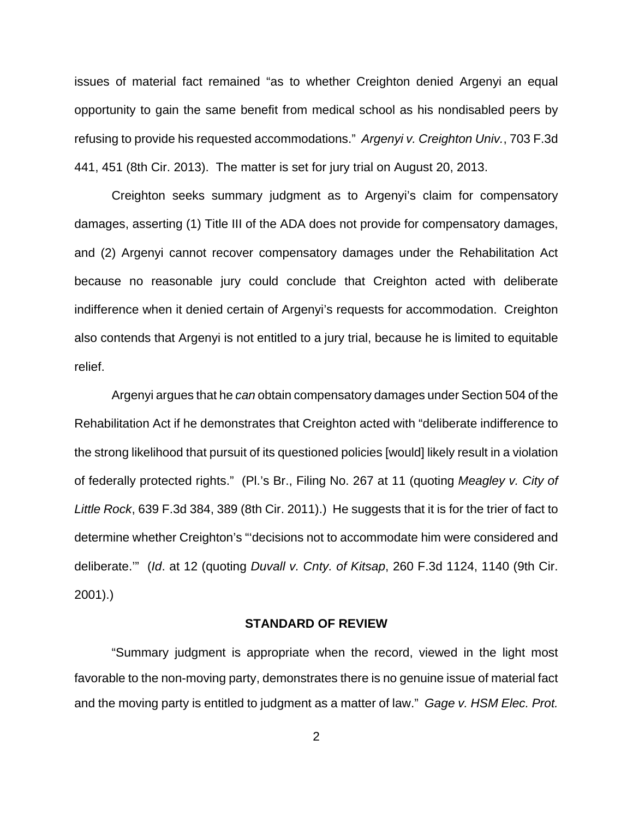issues of material fact remained "as to whether Creighton denied Argenyi an equal opportunity to gain the same benefit from medical school as his nondisabled peers by refusing to provide his requested accommodations." Argenyi v. Creighton Univ., 703 F.3d 441, 451 (8th Cir. 2013). The matter is set for jury trial on August 20, 2013.

Creighton seeks summary judgment as to Argenyi's claim for compensatory damages, asserting (1) Title III of the ADA does not provide for compensatory damages, and (2) Argenyi cannot recover compensatory damages under the Rehabilitation Act because no reasonable jury could conclude that Creighton acted with deliberate indifference when it denied certain of Argenyi's requests for accommodation. Creighton also contends that Argenyi is not entitled to a jury trial, because he is limited to equitable relief.

Argenyi argues that he can obtain compensatory damages under Section 504 of the Rehabilitation Act if he demonstrates that Creighton acted with "deliberate indifference to the strong likelihood that pursuit of its questioned policies [would] likely result in a violation of federally protected rights." (Pl.'s Br., Filing No. 267 at 11 (quoting Meagley v. City of Little Rock, 639 F.3d 384, 389 (8th Cir. 2011).) He suggests that it is for the trier of fact to determine whether Creighton's "'decisions not to accommodate him were considered and deliberate.'" (Id. at 12 (quoting Duvall v. Cnty. of Kitsap, 260 F.3d 1124, 1140 (9th Cir. 2001).)

### **STANDARD OF REVIEW**

"Summary judgment is appropriate when the record, viewed in the light most favorable to the non-moving party, demonstrates there is no genuine issue of material fact and the moving party is entitled to judgment as a matter of law." Gage v. HSM Elec. Prot.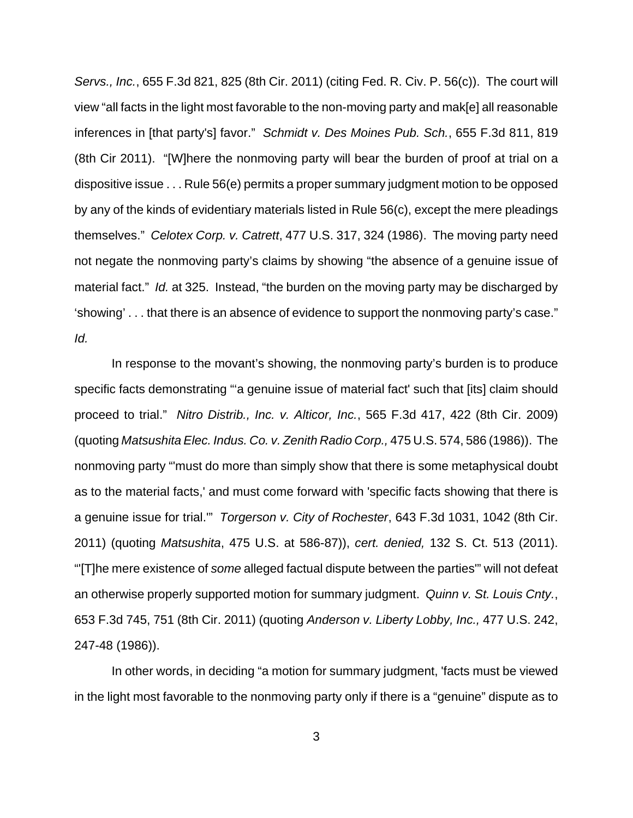Servs., Inc., 655 F.3d 821, 825 (8th Cir. 2011) (citing Fed. R. Civ. P. 56(c)). The court will view "all facts in the light most favorable to the non-moving party and mak[e] all reasonable inferences in [that party's] favor." Schmidt v. Des Moines Pub. Sch., 655 F.3d 811, 819 (8th Cir 2011). "[W]here the nonmoving party will bear the burden of proof at trial on a dispositive issue . . . Rule 56(e) permits a proper summary judgment motion to be opposed by any of the kinds of evidentiary materials listed in Rule 56(c), except the mere pleadings themselves." Celotex Corp. v. Catrett, 477 U.S. 317, 324 (1986). The moving party need not negate the nonmoving party's claims by showing "the absence of a genuine issue of material fact." Id. at 325. Instead, "the burden on the moving party may be discharged by 'showing' . . . that there is an absence of evidence to support the nonmoving party's case." Id.

In response to the movant's showing, the nonmoving party's burden is to produce specific facts demonstrating "'a genuine issue of material fact' such that [its] claim should proceed to trial." Nitro Distrib., Inc. v. Alticor, Inc., 565 F.3d 417, 422 (8th Cir. 2009) (quoting Matsushita Elec. Indus. Co. v. Zenith Radio Corp., 475 U.S. 574, 586 (1986)). The nonmoving party "'must do more than simply show that there is some metaphysical doubt as to the material facts,' and must come forward with 'specific facts showing that there is a genuine issue for trial.'" Torgerson v. City of Rochester, 643 F.3d 1031, 1042 (8th Cir. 2011) (quoting Matsushita, 475 U.S. at 586-87)), cert. denied, 132 S. Ct. 513 (2011). "'[T]he mere existence of some alleged factual dispute between the parties'" will not defeat an otherwise properly supported motion for summary judgment. Quinn v. St. Louis Cnty., 653 F.3d 745, 751 (8th Cir. 2011) (quoting Anderson v. Liberty Lobby, Inc., 477 U.S. 242, 247-48 (1986)).

In other words, in deciding "a motion for summary judgment, 'facts must be viewed in the light most favorable to the nonmoving party only if there is a "genuine" dispute as to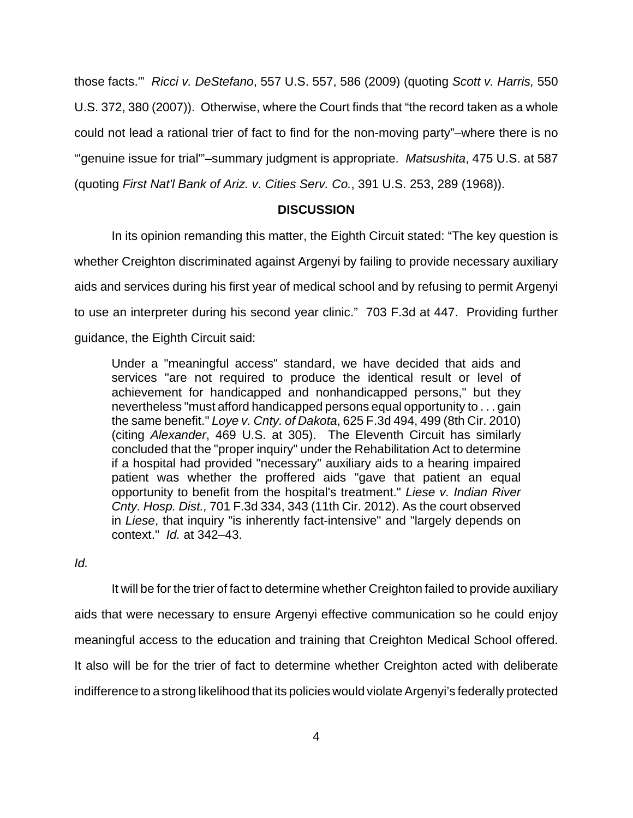those facts.'" Ricci v. DeStefano, 557 U.S. 557, 586 (2009) (quoting Scott v. Harris, 550 U.S. 372, 380 (2007)). Otherwise, where the Court finds that "the record taken as a whole could not lead a rational trier of fact to find for the non-moving party"–where there is no "'genuine issue for trial'"–summary judgment is appropriate. Matsushita, 475 U.S. at 587 (quoting First Nat'l Bank of Ariz. v. Cities Serv. Co., 391 U.S. 253, 289 (1968)).

## **DISCUSSION**

In its opinion remanding this matter, the Eighth Circuit stated: "The key question is whether Creighton discriminated against Argenyi by failing to provide necessary auxiliary aids and services during his first year of medical school and by refusing to permit Argenyi to use an interpreter during his second year clinic." 703 F.3d at 447. Providing further guidance, the Eighth Circuit said:

Under a "meaningful access" standard, we have decided that aids and services "are not required to produce the identical result or level of achievement for handicapped and nonhandicapped persons," but they nevertheless "must afford handicapped persons equal opportunity to . . . gain the same benefit." Loye v. Cnty. of Dakota, 625 F.3d 494, 499 (8th Cir. 2010) (citing Alexander, 469 U.S. at 305). The Eleventh Circuit has similarly concluded that the "proper inquiry" under the Rehabilitation Act to determine if a hospital had provided "necessary" auxiliary aids to a hearing impaired patient was whether the proffered aids "gave that patient an equal opportunity to benefit from the hospital's treatment." Liese v. Indian River Cnty. Hosp. Dist., 701 F.3d 334, 343 (11th Cir. 2012). As the court observed in Liese, that inquiry "is inherently fact-intensive" and "largely depends on context." Id. at 342–43.

Id.

It will be for the trier of fact to determine whether Creighton failed to provide auxiliary aids that were necessary to ensure Argenyi effective communication so he could enjoy meaningful access to the education and training that Creighton Medical School offered. It also will be for the trier of fact to determine whether Creighton acted with deliberate indifference to a strong likelihood that its policies would violate Argenyi's federally protected